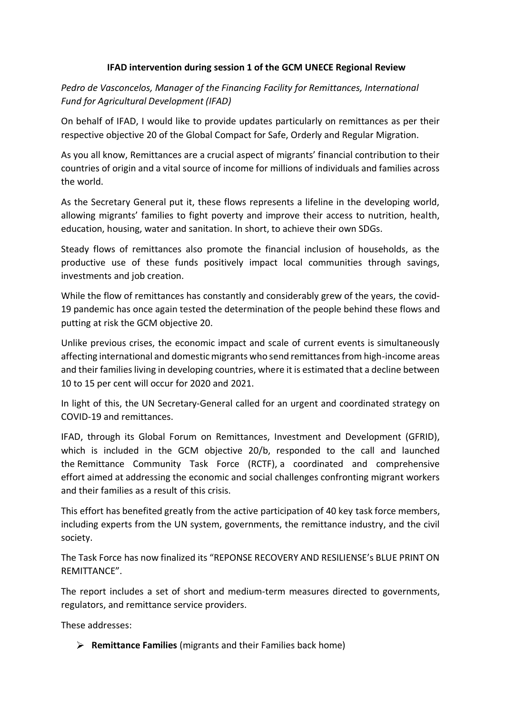## **IFAD intervention during session 1 of the GCM UNECE Regional Review**

*Pedro de Vasconcelos, Manager of the Financing Facility for Remittances, International Fund for Agricultural Development (IFAD)*

On behalf of IFAD, I would like to provide updates particularly on remittances as per their respective objective 20 of the Global Compact for Safe, Orderly and Regular Migration.

As you all know, Remittances are a crucial aspect of migrants' financial contribution to their countries of origin and a vital source of income for millions of individuals and families across the world.

As the Secretary General put it, these flows represents a lifeline in the developing world, allowing migrants' families to fight poverty and improve their access to nutrition, health, education, housing, water and sanitation. In short, to achieve their own SDGs.

Steady flows of remittances also promote the financial inclusion of households, as the productive use of these funds positively impact local communities through savings, investments and job creation.

While the flow of remittances has constantly and considerably grew of the years, the covid-19 pandemic has once again tested the determination of the people behind these flows and putting at risk the GCM objective 20.

Unlike previous crises, the economic impact and scale of current events is simultaneously affecting international and domestic migrants who send remittances from high-income areas and their families living in developing countries, where it is estimated that a decline between 10 to 15 per cent will occur for 2020 and 2021.

In light of this, the UN Secretary-General called for an urgent and coordinated strategy on COVID-19 and remittances.

IFAD, through its Global Forum on Remittances, Investment and Development (GFRID), which is included in the GCM objective 20/b, responded to the call and launched the Remittance Community Task Force (RCTF), a coordinated and comprehensive effort aimed at addressing the economic and social challenges confronting migrant workers and their families as a result of this crisis.

This effort has benefited greatly from the active participation of 40 key task force members, including experts from the UN system, governments, the remittance industry, and the civil society.

The Task Force has now finalized its "REPONSE RECOVERY AND RESILIENSE's BLUE PRINT ON REMITTANCE".

The report includes a set of short and medium-term measures directed to governments, regulators, and remittance service providers.

These addresses:

**Remittance Families** (migrants and their Families back home)